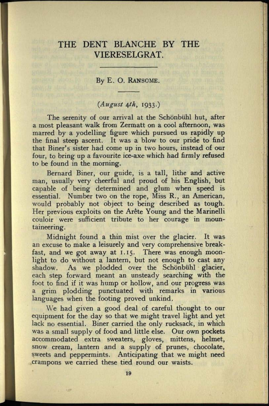## THE DENT BLANCHE BY THE VIERESELGRAT.

## By E. O. RANSOME.

## *(August tfh,* 1933.)

The serenity of our arrival at the Schönbühl hut, after a most pleasant walk from Zermatt on a cool afternoon, was marred by a yodelling figure which pursued us rapidly up the final steep ascent. It was <sup>a</sup>blow to our pride to find that Biner's sister had come up in two hours, instead of our four, to bring up a favourite ice-axe which had firmly refused to be found in the morning.

Bernard Biner, our guide, is a tall, lithe and active man, usually very cheerful and proud of his English, but capable of being determined and glum when speed is essential. Number two on the rope, Miss R., an American, would probably not object to being described as tough. Her previous exploits on the Arête Young and the Marinelli couloir were sufficient tribute to her courage in mountaineering.

Midnight found a thin mist over the glacier. It was an excuse to make a leisurely and very comprehensive breakfast, and we got away at 1.15. There was enough moonlight to do without a lantern, but not enough to cast any shadow. As we plodded over the Schönbühl glacier, As we plodded over the Schönbühl glacier, each step forward meant an unsteady searching with the foot to find if it was hump or hollow, and our progress was <sup>a</sup>grim plodding punctuated with remarks in various languages when the footing proved unkind.

We had given a good deal of careful thought to our equipment for the day so that we might travel light and ye<sup>t</sup> lack no essential. Biner carried the only rucksack, in which was a small supply of food and little else. Our own pockets accommodated extra sweaters, gloves, mittens, helmet, snow cream, lantern and a supply of prunes, chocolate, sweets and peppermints. Anticipating that we might need crampons we carried these tied round our waists.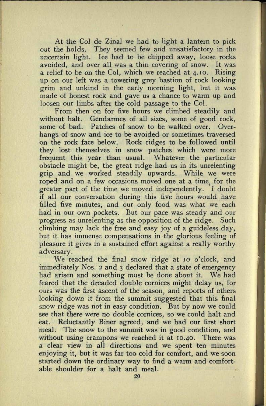At the Col de Zinal we had to light a lantern to pick out the holds. They seemed few and unsatisfactory in the uncertain light. Ice had to be chipped away, loose rocks avoided, and over all was a thin covering of snow. It was a relief to be on the Col, which we reached at 4.10. Rising up on our left was a towering grey bastion of rock looking grim and unkind in the early morning light, but it was made of honest rock and gave us a chance to warm up and loosen our limbs after the cold passage to the Col.

From then on for five hours we climbed steadily and without halt. Gendarmes of all sizes, some of good rock, some of bad. Patches of snow to be walked over. Overhangs of snow and ice to be avoided or sometimes traversed on the rock face below. Rock ridges to be followed until they lost themselves in snow patches which were more frequent this year than usual. Whatever the particular obstacle might be, the great ridge had us in its unrelenting grip and we worked steadily upwards. While we were roped and on a few occasions moved one at a time; for the greater part of the time we moved independently. I doubt if all our conversation during this five hours would have filled five minutes, and our only food was what we each had in our own pockets. But our pace was steady and our progress as unrelenting as the opposition of the ridge. Such climbing may lack the free and easy joy of a guideless day, but it has immense compensations in the glorious feeling of pleasure it gives in a sustained effort against a really worthy adversary.

We reached the final snow ridge at 10 o'clock, and immediately Nos. 2 and 3 declared that a state of emergency had arisen and something must be done about it. We had feared that the dreaded double cornices might delay us, for ours was the first ascent of the season, and reports of others looking down it from the summit suggested that this final snow ridge was not in easy condition. But by now we could see that there were no double cornices, so we could halt and eat. Reluctantly Biner agreed, and we had our first short meal. The snow to the summit was in good condition, and without using crampons we reached it at 10.40. There was a clear view in all directions and we spent ten minutes enjoying it, but it was far too cold for comfort, and we soon started down the ordinary way to find a warm and comfortable shoulder for a halt and meal.